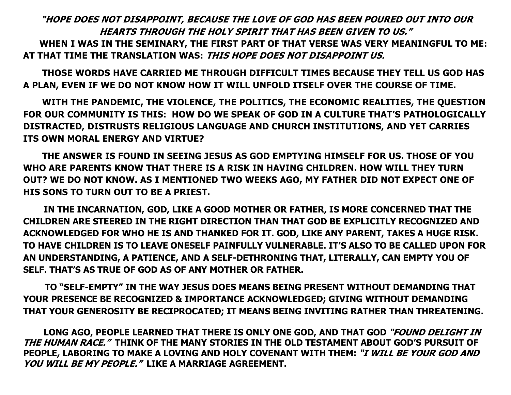## "HOPE DOES NOT DISAPPOINT, BECAUSE THE LOVE OF GOD HAS BEEN POURED OUT INTO OUR HEARTS THROUGH THE HOLY SPIRIT THAT HAS BEEN GIVEN TO US." WHEN I WAS IN THE SEMINARY, THE FIRST PART OF THAT VERSE WAS VERY MEANINGFUL TO ME: AT THAT TIME THE TRANSLATION WAS: THIS HOPE DOES NOT DISAPPOINT US.

 THOSE WORDS HAVE CARRIED ME THROUGH DIFFICULT TIMES BECAUSE THEY TELL US GOD HAS A PLAN, EVEN IF WE DO NOT KNOW HOW IT WILL UNFOLD ITSELF OVER THE COURSE OF TIME.

 WITH THE PANDEMIC, THE VIOLENCE, THE POLITICS, THE ECONOMIC REALITIES, THE QUESTION FOR OUR COMMUNITY IS THIS: HOW DO WE SPEAK OF GOD IN A CULTURE THAT'S PATHOLOGICALLY DISTRACTED, DISTRUSTS RELIGIOUS LANGUAGE AND CHURCH INSTITUTIONS, AND YET CARRIES ITS OWN MORAL ENERGY AND VIRTUE?

 THE ANSWER IS FOUND IN SEEING JESUS AS GOD EMPTYING HIMSELF FOR US. THOSE OF YOU WHO ARE PARENTS KNOW THAT THERE IS A RISK IN HAVING CHILDREN. HOW WILL THEY TURN OUT? WE DO NOT KNOW. AS I MENTIONED TWO WEEKS AGO, MY FATHER DID NOT EXPECT ONE OF HIS SONS TO TURN OUT TO BE A PRIEST.

 IN THE INCARNATION, GOD, LIKE A GOOD MOTHER OR FATHER, IS MORE CONCERNED THAT THE CHILDREN ARE STEERED IN THE RIGHT DIRECTION THAN THAT GOD BE EXPLICITLY RECOGNIZED AND ACKNOWLEDGED FOR WHO HE IS AND THANKED FOR IT. GOD, LIKE ANY PARENT, TAKES A HUGE RISK. TO HAVE CHILDREN IS TO LEAVE ONESELF PAINFULLY VULNERABLE. IT'S ALSO TO BE CALLED UPON FOR AN UNDERSTANDING, A PATIENCE, AND A SELF-DETHRONING THAT, LITERALLY, CAN EMPTY YOU OF SELF. THAT'S AS TRUE OF GOD AS OF ANY MOTHER OR FATHER.

 TO "SELF-EMPTY" IN THE WAY JESUS DOES MEANS BEING PRESENT WITHOUT DEMANDING THAT YOUR PRESENCE BE RECOGNIZED & IMPORTANCE ACKNOWLEDGED; GIVING WITHOUT DEMANDING THAT YOUR GENEROSITY BE RECIPROCATED; IT MEANS BEING INVITING RATHER THAN THREATENING.

LONG AGO, PEOPLE LEARNED THAT THERE IS ONLY ONE GOD, AND THAT GOD "FOUND DELIGHT IN THE HUMAN RACE." THINK OF THE MANY STORIES IN THE OLD TESTAMENT ABOUT GOD'S PURSUIT OF PEOPLE, LABORING TO MAKE A LOVING AND HOLY COVENANT WITH THEM: "I WILL BE YOUR GOD AND YOU WILL BE MY PEOPLE." LIKE A MARRIAGE AGREEMENT.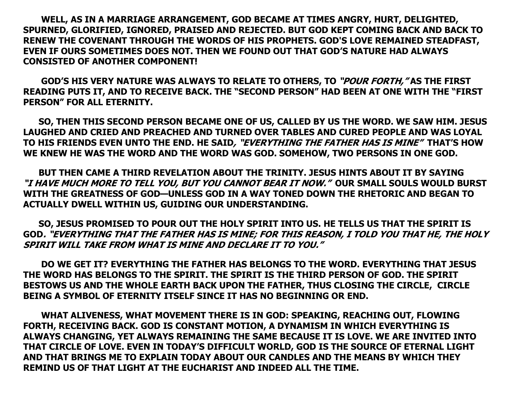WELL, AS IN A MARRIAGE ARRANGEMENT, GOD BECAME AT TIMES ANGRY, HURT, DELIGHTED, SPURNED, GLORIFIED, IGNORED, PRAISED AND REJECTED. BUT GOD KEPT COMING BACK AND BACK TO RENEW THE COVENANT THROUGH THE WORDS OF HIS PROPHETS. GOD'S LOVE REMAINED STEADFAST, EVEN IF OURS SOMETIMES DOES NOT. THEN WE FOUND OUT THAT GOD'S NATURE HAD ALWAYS CONSISTED OF ANOTHER COMPONENT!

GOD'S HIS VERY NATURE WAS ALWAYS TO RELATE TO OTHERS, TO "POUR FORTH," AS THE FIRST READING PUTS IT, AND TO RECEIVE BACK. THE "SECOND PERSON" HAD BEEN AT ONE WITH THE "FIRST PERSON" FOR ALL ETERNITY.

 SO, THEN THIS SECOND PERSON BECAME ONE OF US, CALLED BY US THE WORD. WE SAW HIM. JESUS LAUGHED AND CRIED AND PREACHED AND TURNED OVER TABLES AND CURED PEOPLE AND WAS LOYAL TO HIS FRIENDS EVEN UNTO THE END. HE SAID, "EVERYTHING THE FATHER HAS IS MINE" THAT'S HOW WE KNEW HE WAS THE WORD AND THE WORD WAS GOD. SOMEHOW, TWO PERSONS IN ONE GOD.

 BUT THEN CAME A THIRD REVELATION ABOUT THE TRINITY. JESUS HINTS ABOUT IT BY SAYING "I HAVE MUCH MORE TO TELL YOU, BUT YOU CANNOT BEAR IT NOW." OUR SMALL SOULS WOULD BURST WITH THE GREATNESS OF GOD—UNLESS GOD IN A WAY TONED DOWN THE RHETORIC AND BEGAN TO ACTUALLY DWELL WITHIN US, GUIDING OUR UNDERSTANDING.

 SO, JESUS PROMISED TO POUR OUT THE HOLY SPIRIT INTO US. HE TELLS US THAT THE SPIRIT IS GOD. "EVERYTHING THAT THE FATHER HAS IS MINE; FOR THIS REASON, I TOLD YOU THAT HE, THE HOLY SPIRIT WILL TAKE FROM WHAT IS MINE AND DECLARE IT TO YOU."

 DO WE GET IT? EVERYTHING THE FATHER HAS BELONGS TO THE WORD. EVERYTHING THAT JESUS THE WORD HAS BELONGS TO THE SPIRIT. THE SPIRIT IS THE THIRD PERSON OF GOD. THE SPIRIT BESTOWS US AND THE WHOLE EARTH BACK UPON THE FATHER, THUS CLOSING THE CIRCLE, CIRCLE BEING A SYMBOL OF ETERNITY ITSELF SINCE IT HAS NO BEGINNING OR END.

 WHAT ALIVENESS, WHAT MOVEMENT THERE IS IN GOD: SPEAKING, REACHING OUT, FLOWING FORTH, RECEIVING BACK. GOD IS CONSTANT MOTION, A DYNAMISM IN WHICH EVERYTHING IS ALWAYS CHANGING, YET ALWAYS REMAINING THE SAME BECAUSE IT IS LOVE. WE ARE INVITED INTO THAT CIRCLE OF LOVE. EVEN IN TODAY'S DIFFICULT WORLD, GOD IS THE SOURCE OF ETERNAL LIGHT AND THAT BRINGS ME TO EXPLAIN TODAY ABOUT OUR CANDLES AND THE MEANS BY WHICH THEY REMIND US OF THAT LIGHT AT THE EUCHARIST AND INDEED ALL THE TIME.